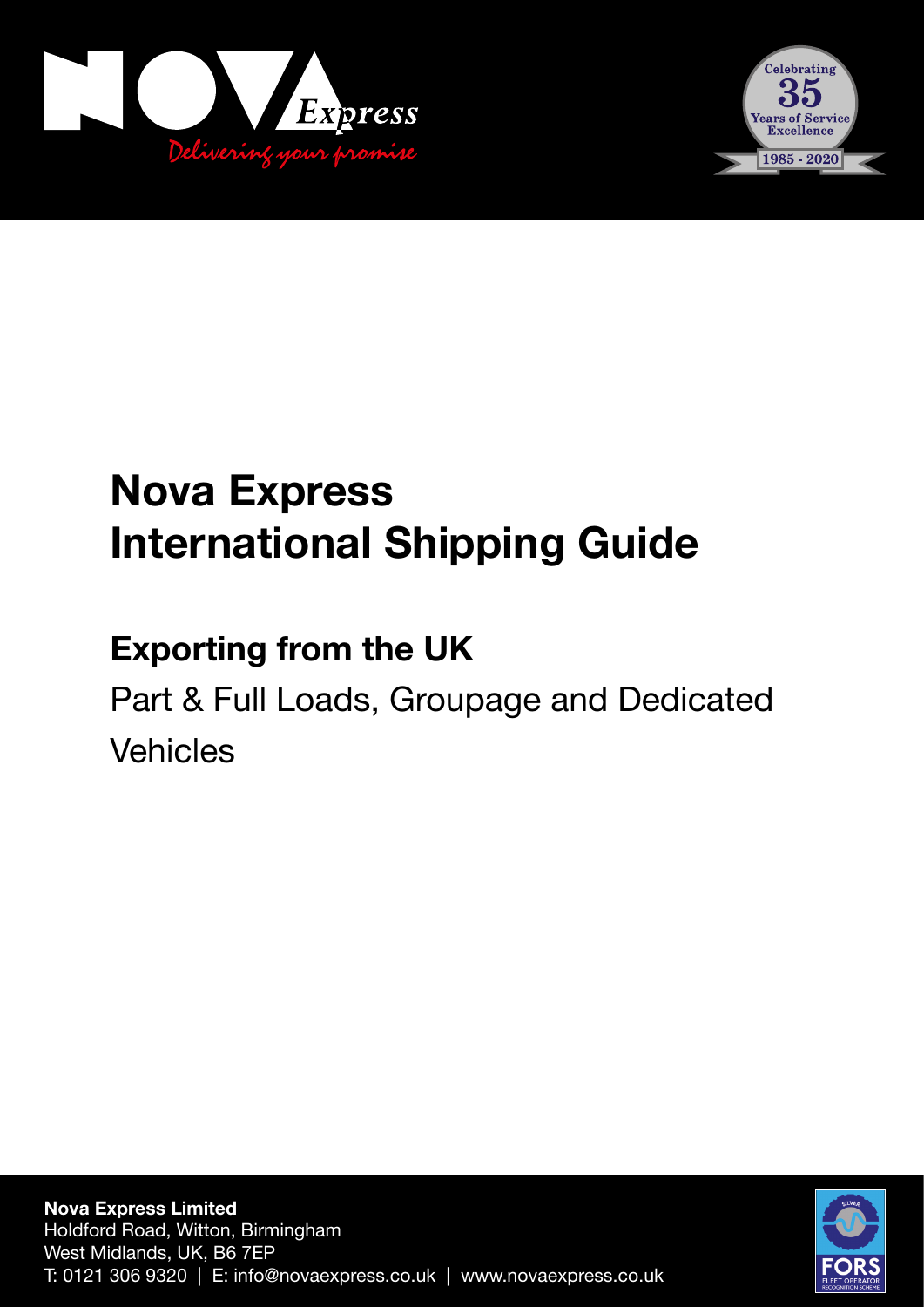



# **Nova Express International Shipping Guide**

## **Exporting from the UK**

Part & Full Loads, Groupage and Dedicated Vehicles

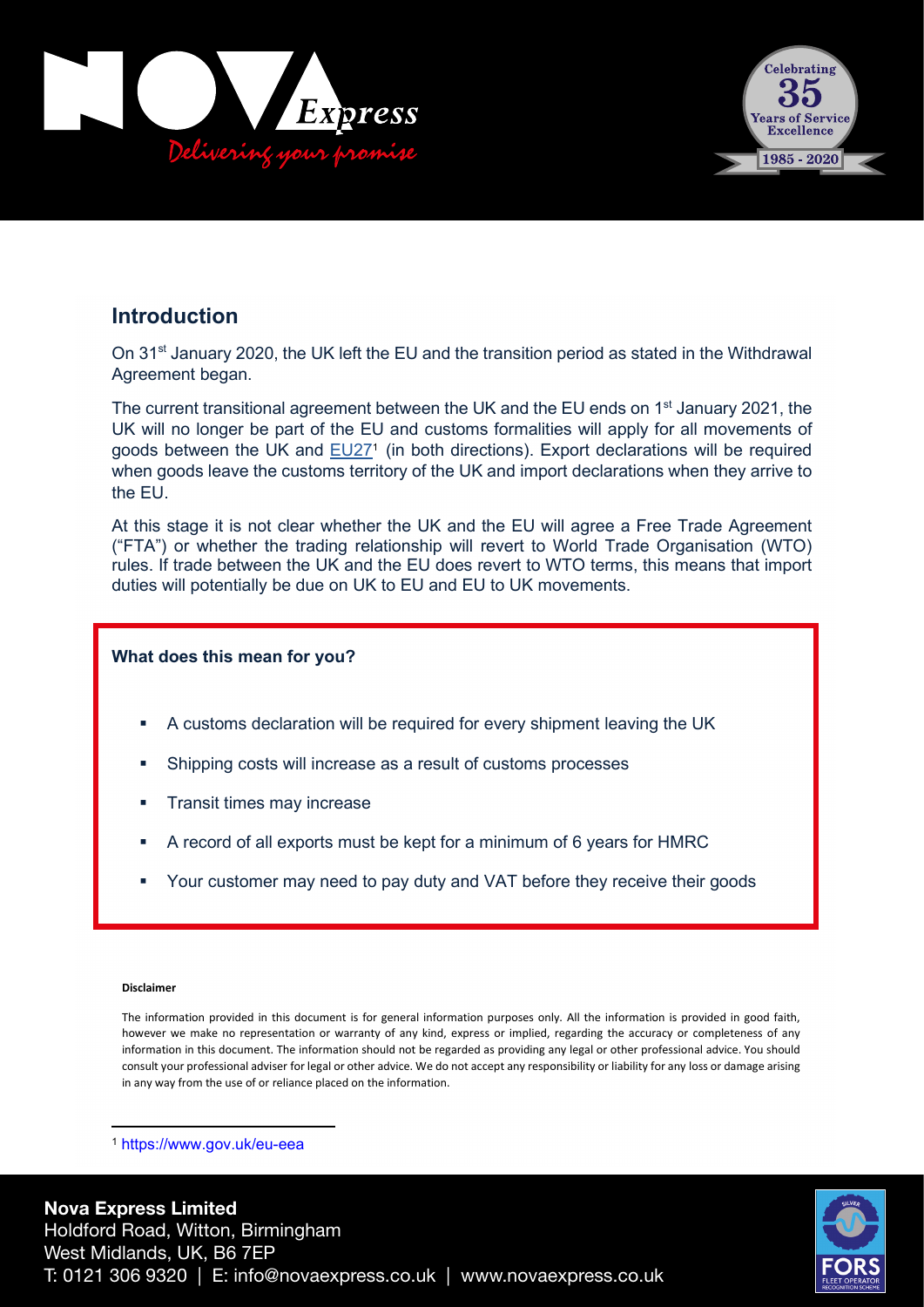



#### **Introduction**

On 31<sup>st</sup> January 2020, the UK left the EU and the transition period as stated in the Withdrawal Agreement began.

The current transitional agreement between the UK and the EU ends on  $1<sup>st</sup>$  January 2021, the UK will no longer be part of the EU and customs formalities will apply for all movements of goods between the UK and EU27<sup>1</sup> (in both directions). Export declarations will be required when goods leave the customs territory of the UK and import declarations when they arrive to the EU.

At this stage it is not clear whether the UK and the EU will agree a Free Trade Agreement ("FTA") or whether the trading relationship will revert to World Trade Organisation (WTO) rules. If trade between the UK and the EU does revert to WTO terms, this means that import duties will potentially be due on UK to EU and EU to UK movements.

#### **What does this mean for you?**

- A customs declaration will be required for every shipment leaving the UK
- Shipping costs will increase as a result of customs processes
- Transit times may increase
- A record of all exports must be kept for a minimum of 6 years for HMRC
- Your customer may need to pay duty and VAT before they receive their goods

#### **Disclaimer**

The information provided in this document is for general information purposes only. All the information is provided in good faith, however we make no representation or warranty of any kind, express or implied, regarding the accuracy or completeness of any information in this document. The information should not be regarded as providing any legal or other professional advice. You should consult your professional adviser for legal or other advice. We do not accept any responsibility or liability for any loss or damage arising in any way from the use of or reliance placed on the information.

<sup>1</sup> https://www.gov.uk/eu-eea

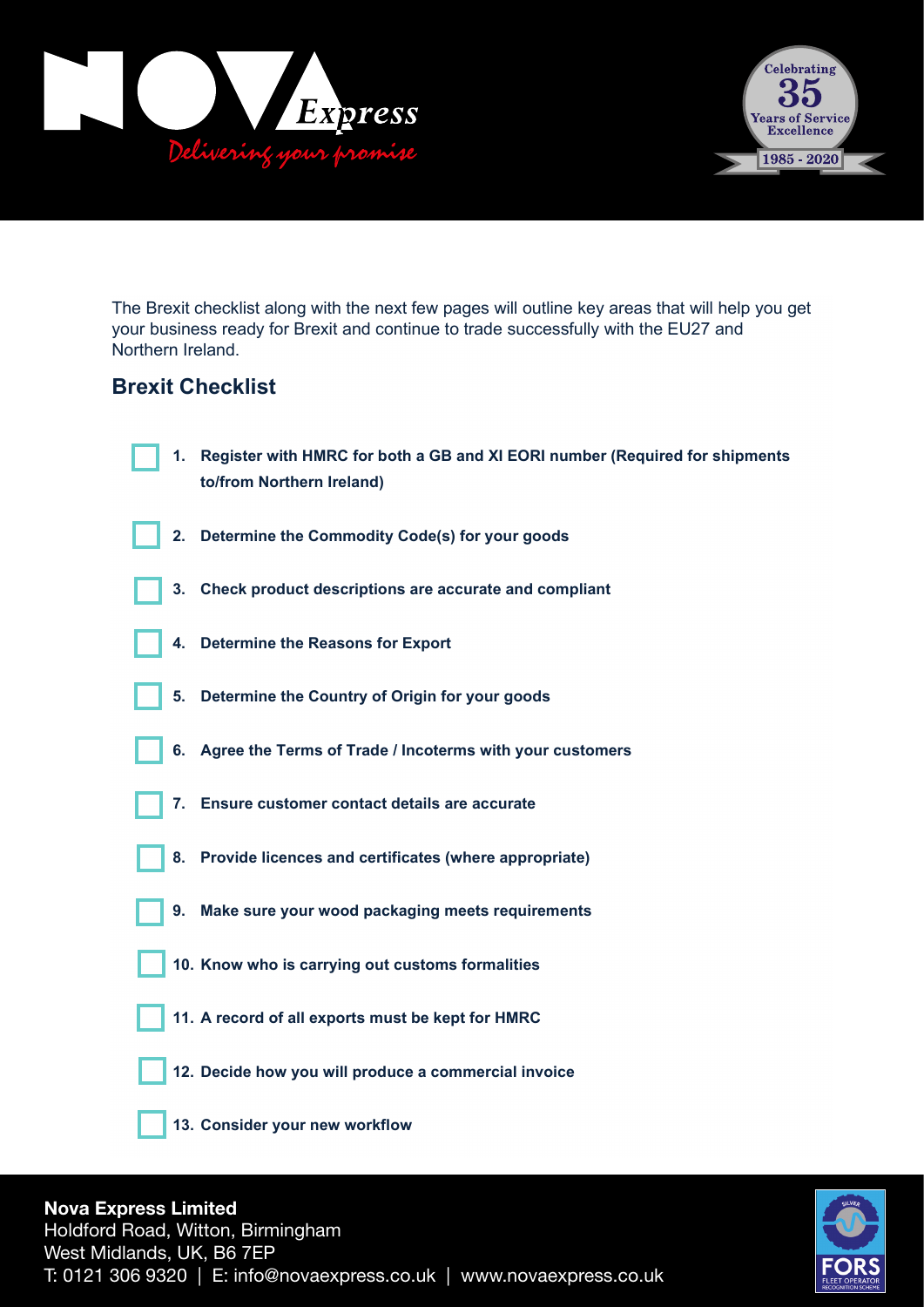



The Brexit checklist along with the next few pages will outline key areas that will help you get your business ready for Brexit and continue to trade successfully with the EU27 and Northern Ireland.

#### **Brexit Checklist**

| 1. | Register with HMRC for both a GB and XI EORI number (Required for shipments<br>to/from Northern Ireland) |
|----|----------------------------------------------------------------------------------------------------------|
| 2. | Determine the Commodity Code(s) for your goods                                                           |
| 3. | Check product descriptions are accurate and compliant                                                    |
| 4. | <b>Determine the Reasons for Export</b>                                                                  |
| 5. | Determine the Country of Origin for your goods                                                           |
|    | 6. Agree the Terms of Trade / Incoterms with your customers                                              |
| 7. | Ensure customer contact details are accurate                                                             |
| 8. | Provide licences and certificates (where appropriate)                                                    |
| 9. | Make sure your wood packaging meets requirements                                                         |
|    | 10. Know who is carrying out customs formalities                                                         |
|    | 11. A record of all exports must be kept for HMRC                                                        |
|    | 12. Decide how you will produce a commercial invoice                                                     |
|    | 13. Consider your new workflow                                                                           |



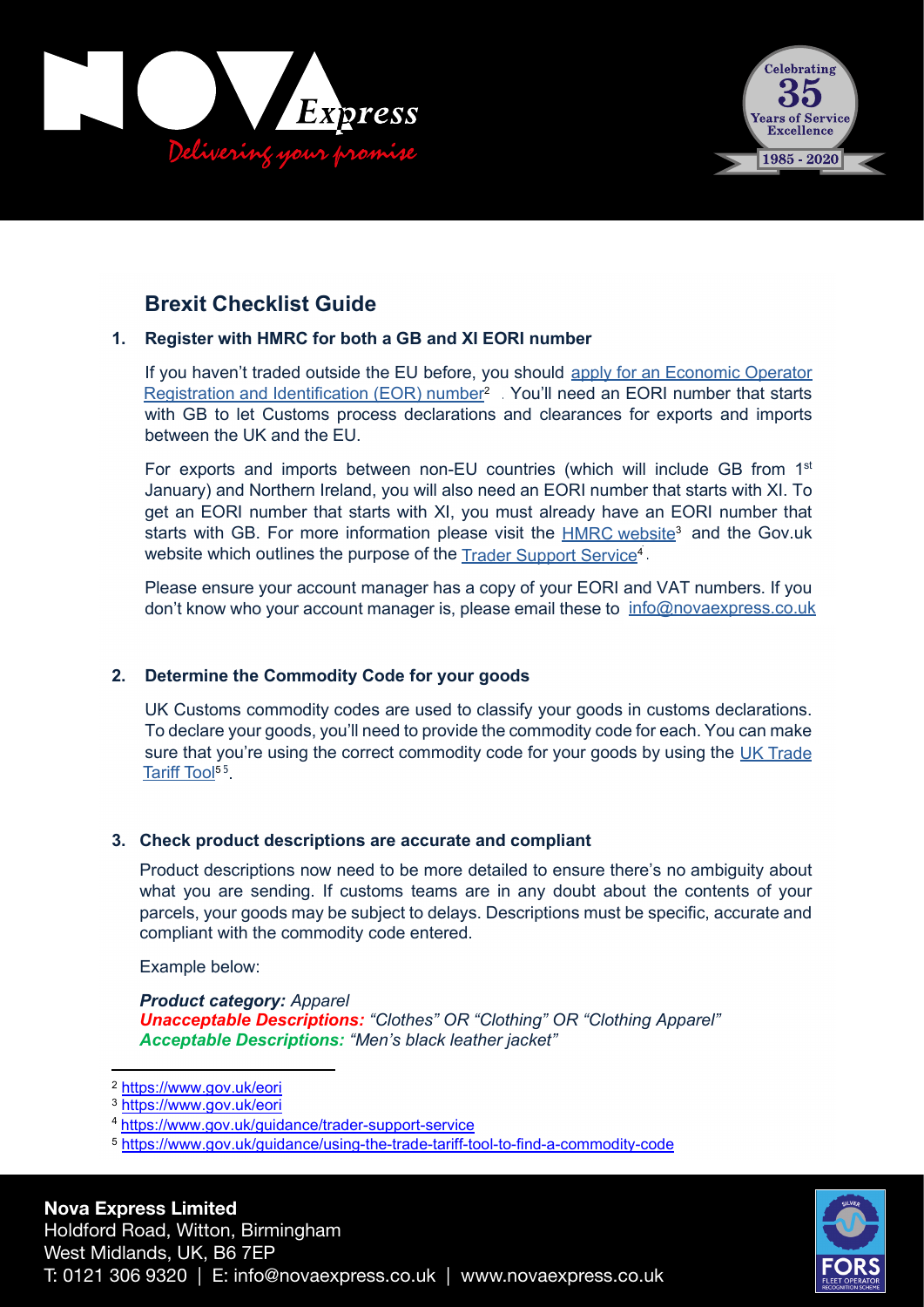



### **Brexit Checklist Guide**

#### **1. Register with HMRC for both a GB and XI EORI number**

If you haven't traded outside the EU before, you should apply for an Economic Operator Registration and Identification (EOR) number<sup>2</sup> You'll need an EORI number that starts with GB to let Customs process declarations and clearances for exports and imports between the UK and the EU.

For exports and imports between non-EU countries (which will include GB from  $1<sup>st</sup>$ January) and Northern Ireland, you will also need an EORI number that starts with XI. To get an EORI number that starts with XI, you must already have an EORI number that starts with GB. For more information please visit the **HMRC website<sup>3</sup> and the Gov.uk** website which outlines the purpose of the <u>Trader Support Service</u>4.

Please ensure your account manager has a copy of your EORI and VAT numbers. If you don't know who your account manager is, please email these to <u>info@novaexpress.co.uk</u>

#### **2. Determine the Commodity Code for your goods**

UK Customs commodity codes are used to classify your goods in customs declarations. To declare your goods, you'll need to provide the commodity code for each. You can make sure that you're using the correct commodity code for your goods by using the UK Trade Tariff Tool<sup>55</sup>.

#### **3. Check product descriptions are accurate and compliant**

Product descriptions now need to be more detailed to ensure there's no ambiguity about what you are sending. If customs teams are in any doubt about the contents of your parcels, your goods may be subject to delays. Descriptions must be specific, accurate and compliant with the commodity code entered.

Example below:

*Product category: Apparel Unacceptable Descriptions: "Clothes" OR "Clothing" OR "Clothing Apparel" Acceptable Descriptions: "Men's black leather jacket"*



<sup>2</sup> https://www.gov.uk/eori

<sup>3</sup> https://www.gov.uk/eori

<sup>4</sup> https://www.gov.uk/guidance/trader-support-service

<sup>5</sup> https://www.gov.uk/guidance/using-the-trade-tariff-tool-to-find-a-commodity-code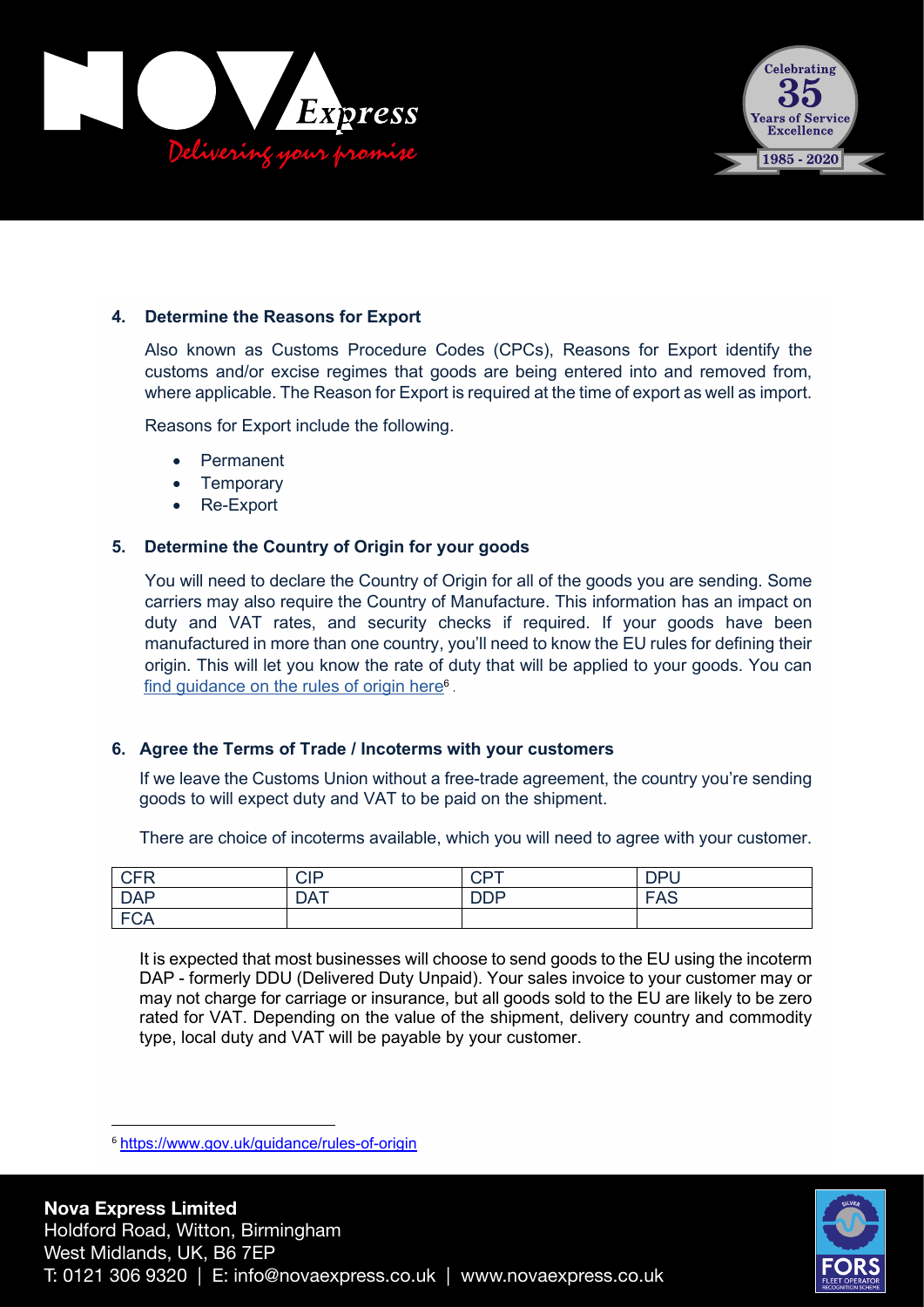



#### **4. Determine the Reasons for Export**

Also known as Customs Procedure Codes (CPCs), Reasons for Export identify the customs and/or excise regimes that goods are being entered into and removed from, where applicable. The Reason for Export is required at the time of export as well as import.

Reasons for Export include the following.

- Permanent
- **Temporary**
- Re-Export

#### **5. Determine the Country of Origin for your goods**

You will need to declare the Country of Origin for all of the goods you are sending. Some carriers may also require the Country of Manufacture. This information has an impact on duty and VAT rates, and security checks if required. If your goods have been manufactured in more than one country, you'll need to know the EU rules for defining their origin. This will let you know the rate of duty that will be applied to your goods. You can find guidance on the rules of origin here<sup>6</sup>.

#### **6. Agree the Terms of Trade / Incoterms with your customers**

If we leave the Customs Union without a free-trade agreement, the country you're sending goods to will expect duty and VAT to be paid on the shipment.

There are choice of incoterms available, which you will need to agree with your customer.

| <b>CFR</b> | <b>CIP</b> | $\cap$ DT<br>◡⊢ | <b>DPII</b><br>◡ |
|------------|------------|-----------------|------------------|
| <b>DAP</b> | <b>DAT</b> | <b>DDP</b>      | <b>FAS</b>       |
| <b>FCA</b> |            |                 |                  |

It is expected that most businesses will choose to send goods to the EU using the incoterm DAP - formerly DDU (Delivered Duty Unpaid). Your sales invoice to your customer may or may not charge for carriage or insurance, but all goods sold to the EU are likely to be zero rated for VAT. Depending on the value of the shipment, delivery country and commodity type, local duty and VAT will be payable by your customer.



<sup>6</sup> https://www.gov.uk/guidance/rules-of-origin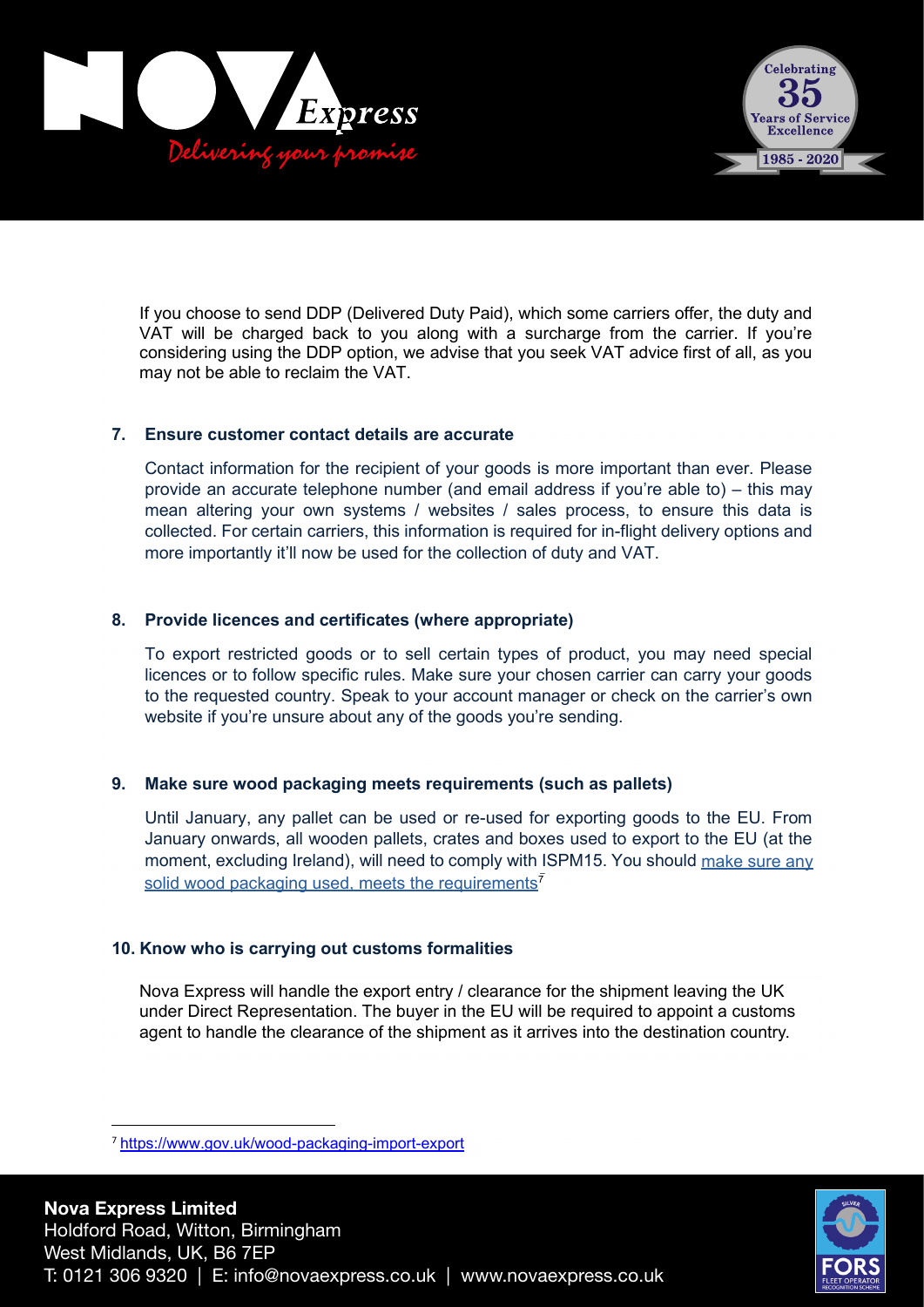



If you choose to send DDP (Delivered Duty Paid), which some carriers offer, the duty and VAT will be charged back to you along with a surcharge from the carrier. If you're considering using the DDP option, we advise that you seek VAT advice first of all, as you may not be able to reclaim the VAT.

#### **7. Ensure customer contact details are accurate**

Contact information for the recipient of your goods is more important than ever. Please provide an accurate telephone number (and email address if you're able to) – this may mean altering your own systems / websites / sales process, to ensure this data is collected. For certain carriers, this information is required for in-flight delivery options and more importantly it'll now be used for the collection of duty and VAT.

#### **8. Provide licences and certificates (where appropriate)**

To export restricted goods or to sell certain types of product, you may need special licences or to follow specific rules. Make sure your chosen carrier can carry your goods to the requested country. Speak to your account manager or check on the carrier's own website if you're unsure about any of the goods you're sending.

#### **9. Make sure wood packaging meets requirements (such as pallets)**

Until January, any pallet can be used or re-used for exporting goods to the EU. From January onwards, all wooden pallets, crates and boxes used to export to the EU (at the moment, excluding Ireland), will need to comply with ISPM15. You should <u>make sure any</u> solid wood packaging used, meets the requirements<sup>7</sup>

#### **10. Know who is carrying out customs formalities**

Nova Express will handle the export entry / clearance for the shipment leaving the UK under Direct Representation. The buyer in the EU will be required to appoint a customs agent to handle the clearance of the shipment as it arrives into the destination country.



<sup>7</sup> https://www.gov.uk/wood-packaging-import-export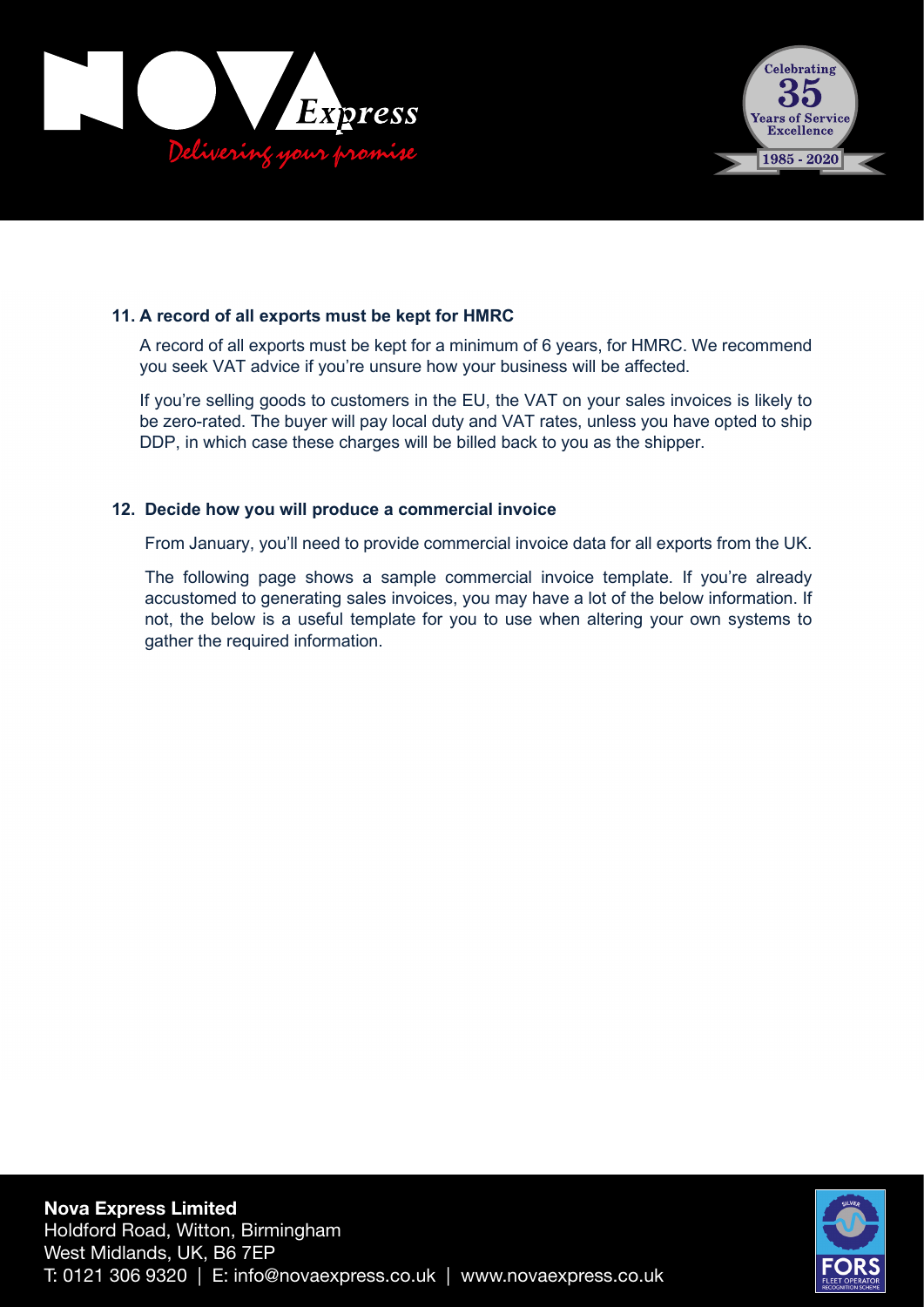



#### **11. A record of all exports must be kept for HMRC**

A record of all exports must be kept for a minimum of 6 years, for HMRC. We recommend you seek VAT advice if you're unsure how your business will be affected.

If you're selling goods to customers in the EU, the VAT on your sales invoices is likely to be zero-rated. The buyer will pay local duty and VAT rates, unless you have opted to ship DDP, in which case these charges will be billed back to you as the shipper.

#### **12. Decide how you will produce a commercial invoice**

From January, you'll need to provide commercial invoice data for all exports from the UK.

The following page shows a sample commercial invoice template. If you're already accustomed to generating sales invoices, you may have a lot of the below information. If not, the below is a useful template for you to use when altering your own systems to gather the required information.

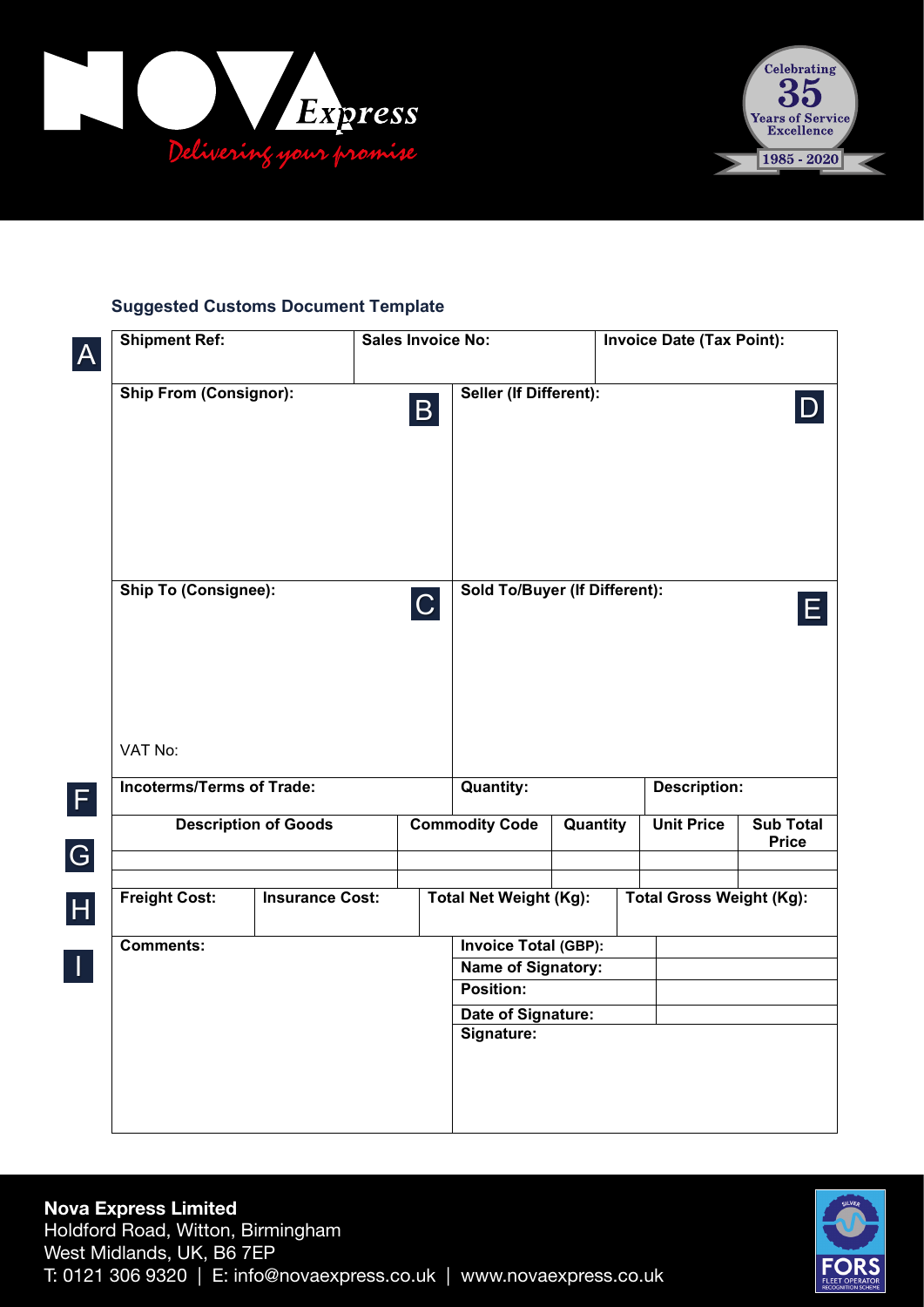



#### **Suggested Customs Document Template**

| $\overline{\mathsf{A}}$ | <b>Shipment Ref:</b>                   |                             |                  | Sales Invoice No: |                                      |          | <b>Invoice Date (Tax Point):</b> |                                 |                                  |
|-------------------------|----------------------------------------|-----------------------------|------------------|-------------------|--------------------------------------|----------|----------------------------------|---------------------------------|----------------------------------|
|                         | <b>Ship From (Consignor):</b>          |                             |                  | $\mathsf B$       | Seller (If Different):               |          |                                  |                                 |                                  |
|                         | <b>Ship To (Consignee):</b><br>VAT No: |                             |                  | C                 | <b>Sold To/Buyer (If Different):</b> |          |                                  |                                 |                                  |
| $\vert$ F               | <b>Incoterms/Terms of Trade:</b>       |                             | <b>Quantity:</b> |                   |                                      |          |                                  | <b>Description:</b>             |                                  |
| G                       |                                        | <b>Description of Goods</b> |                  |                   | <b>Commodity Code</b>                | Quantity |                                  | <b>Unit Price</b>               | <b>Sub Total</b><br><b>Price</b> |
| H                       | <b>Freight Cost:</b>                   | <b>Insurance Cost:</b>      |                  |                   | <b>Total Net Weight (Kg):</b>        |          |                                  | <b>Total Gross Weight (Kg):</b> |                                  |
| $\vert$ 1               | <b>Comments:</b>                       |                             |                  |                   | <b>Invoice Total (GBP):</b>          |          |                                  |                                 |                                  |
|                         |                                        |                             |                  |                   | Name of Signatory:<br>Position:      |          |                                  |                                 |                                  |
|                         |                                        |                             |                  |                   | Date of Signature:                   |          |                                  |                                 |                                  |
|                         |                                        |                             |                  |                   | Signature:                           |          |                                  |                                 |                                  |

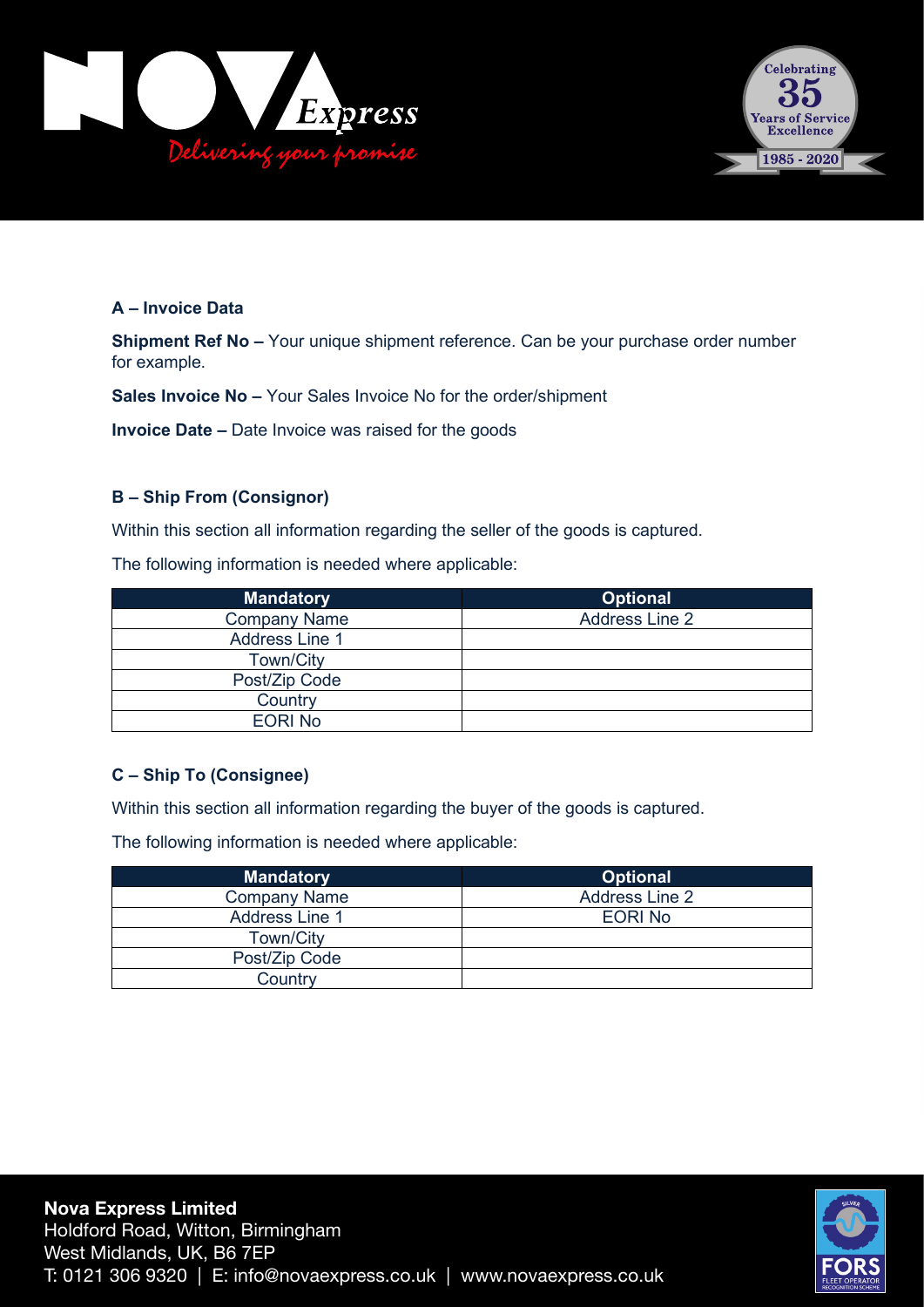



#### **A – Invoice Data**

**Shipment Ref No –** Your unique shipment reference. Can be your purchase order number for example.

**Sales Invoice No –** Your Sales Invoice No for the order/shipment

**Invoice Date –** Date Invoice was raised for the goods

#### **B – Ship From (Consignor)**

Within this section all information regarding the seller of the goods is captured.

The following information is needed where applicable:

| <b>Mandatory</b>      | <b>Optional</b>       |
|-----------------------|-----------------------|
| <b>Company Name</b>   | <b>Address Line 2</b> |
| <b>Address Line 1</b> |                       |
| Town/City             |                       |
| Post/Zip Code         |                       |
| Country               |                       |
| <b>EORI No</b>        |                       |

#### **C – Ship To (Consignee)**

Within this section all information regarding the buyer of the goods is captured.

The following information is needed where applicable:

| <b>Mandatory</b>      | <b>Optional</b>       |
|-----------------------|-----------------------|
| <b>Company Name</b>   | <b>Address Line 2</b> |
| <b>Address Line 1</b> | <b>EORINO</b>         |
| Town/City             |                       |
| Post/Zip Code         |                       |
| Country               |                       |

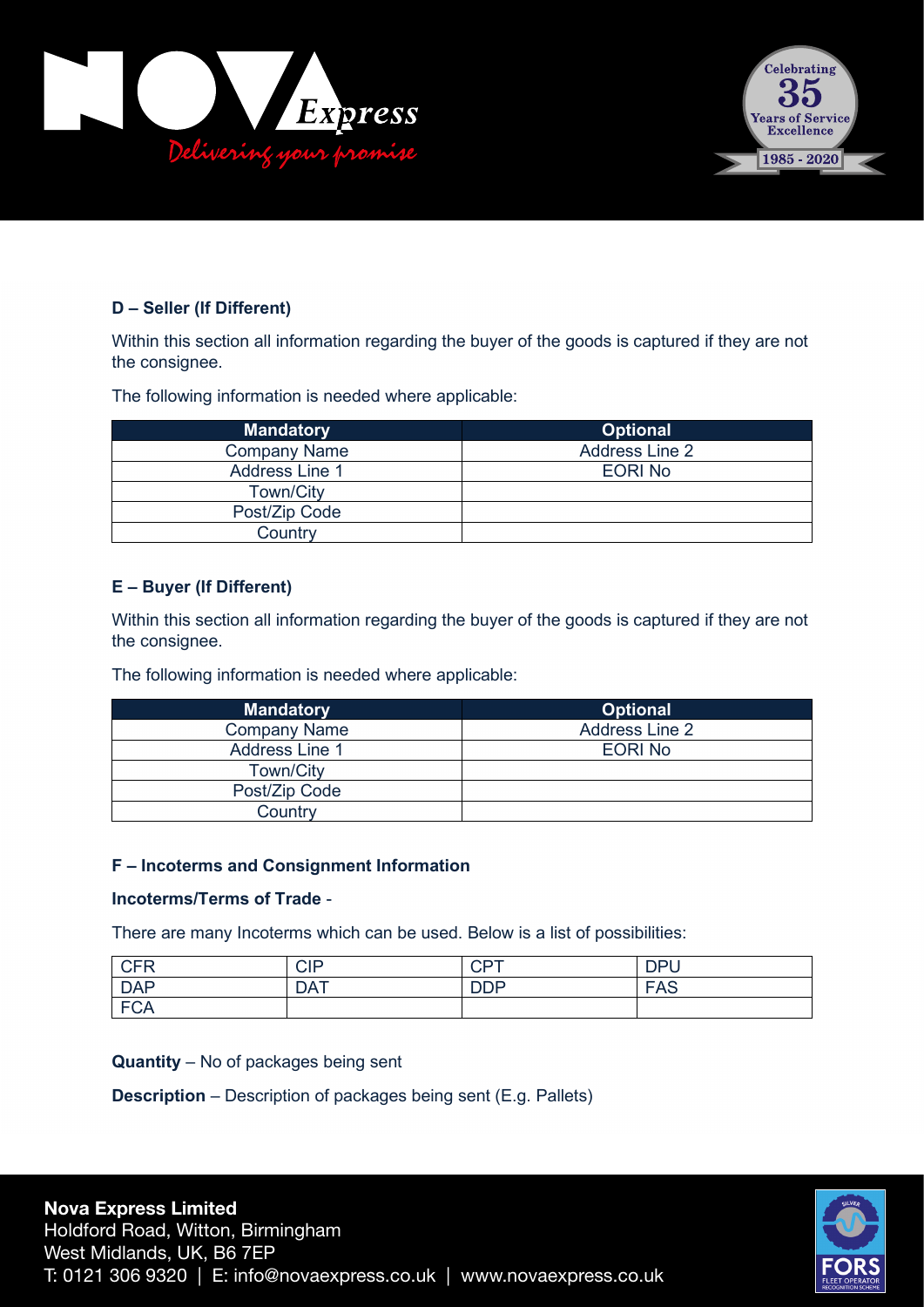



#### **D – Seller (If Different)**

Within this section all information regarding the buyer of the goods is captured if they are not the consignee.

The following information is needed where applicable:

| <b>Mandatory</b>      | <b>Optional</b>       |
|-----------------------|-----------------------|
| <b>Company Name</b>   | <b>Address Line 2</b> |
| <b>Address Line 1</b> | <b>EORINO</b>         |
| Town/City             |                       |
| Post/Zip Code         |                       |
| Country               |                       |

#### **E – Buyer (If Different)**

Within this section all information regarding the buyer of the goods is captured if they are not the consignee.

The following information is needed where applicable:

| <b>Mandatory</b>      | <b>Optional</b>       |
|-----------------------|-----------------------|
| <b>Company Name</b>   | <b>Address Line 2</b> |
| <b>Address Line 1</b> | <b>EORINO</b>         |
| <b>Town/City</b>      |                       |
| Post/Zip Code         |                       |
| Country               |                       |

#### **F – Incoterms and Consignment Information**

#### **Incoterms/Terms of Trade** -

There are many Incoterms which can be used. Below is a list of possibilities:

| <b>CFR</b>             | <b>CIP</b> | <b>CPT</b> | <b>DPU</b> |
|------------------------|------------|------------|------------|
| <b>DAP</b>             | <b>DAT</b> | <b>DDP</b> | <b>FAS</b> |
| $E \cap \Delta$<br>∙∪A |            |            |            |

**Quantity** – No of packages being sent

**Description** – Description of packages being sent (E.g. Pallets)

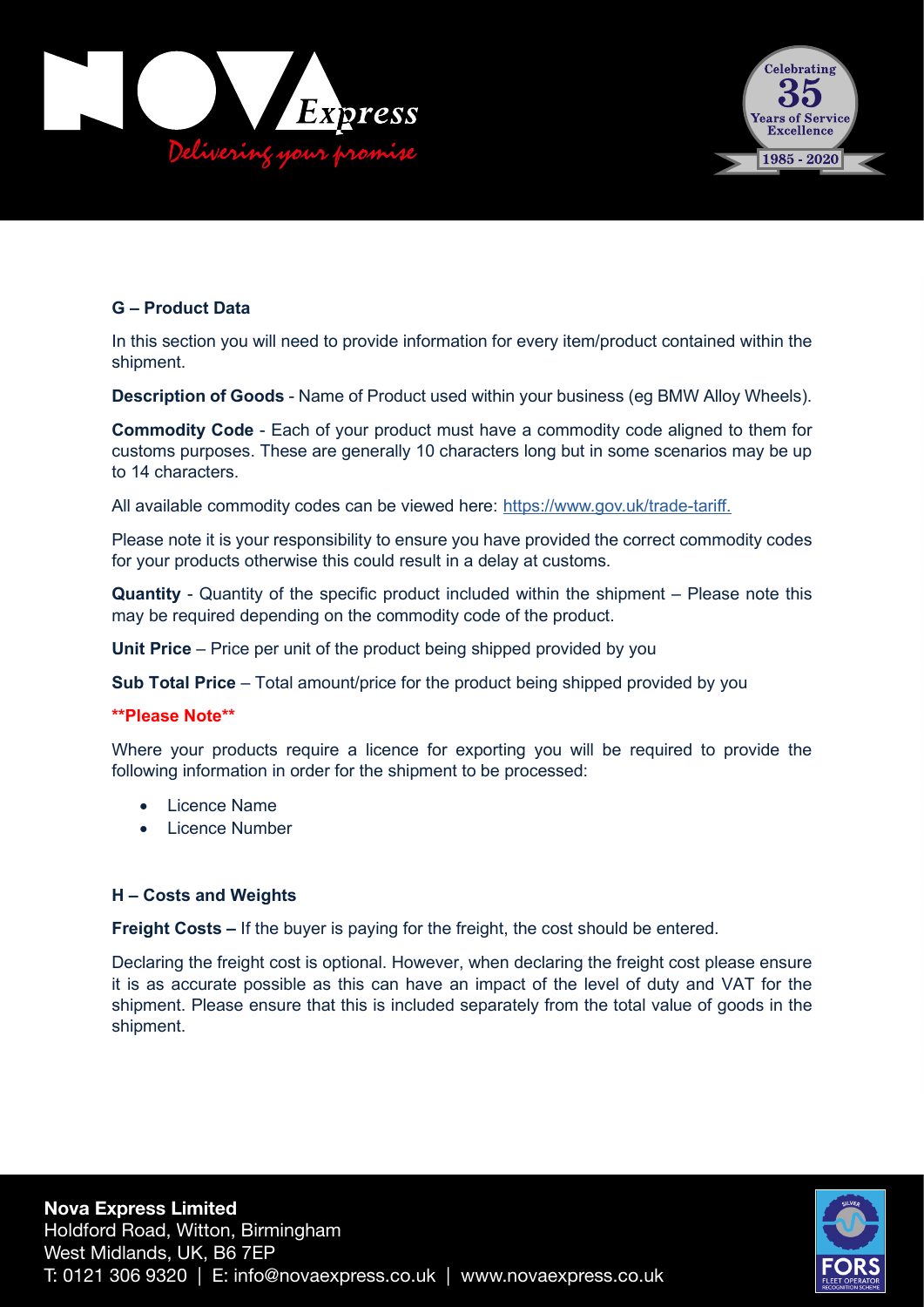



#### **G – Product Data**

In this section you will need to provide information for every item/product contained within the shipment.

**Description of Goods** - Name of Product used within your business (eg BMW Alloy Wheels).

**Commodity Code** - Each of your product must have a commodity code aligned to them for customs purposes. These are generally 10 characters long but in some scenarios may be up to 14 characters.

All available commodity codes can be viewed here: <u>https://www.gov.uk/trade-tariff.</u>

Please note it is your responsibility to ensure you have provided the correct commodity codes for your products otherwise this could result in a delay at customs.

**Quantity** - Quantity of the specific product included within the shipment – Please note this may be required depending on the commodity code of the product.

**Unit Price** – Price per unit of the product being shipped provided by you

**Sub Total Price** – Total amount/price for the product being shipped provided by you

#### **\*\*Please Note\*\***

Where your products require a licence for exporting you will be required to provide the following information in order for the shipment to be processed:

- **Licence Name**
- Licence Number

#### **H – Costs and Weights**

**Freight Costs –** If the buyer is paying for the freight, the cost should be entered.

Declaring the freight cost is optional. However, when declaring the freight cost please ensure it is as accurate possible as this can have an impact of the level of duty and VAT for the shipment. Please ensure that this is included separately from the total value of goods in the shipment.

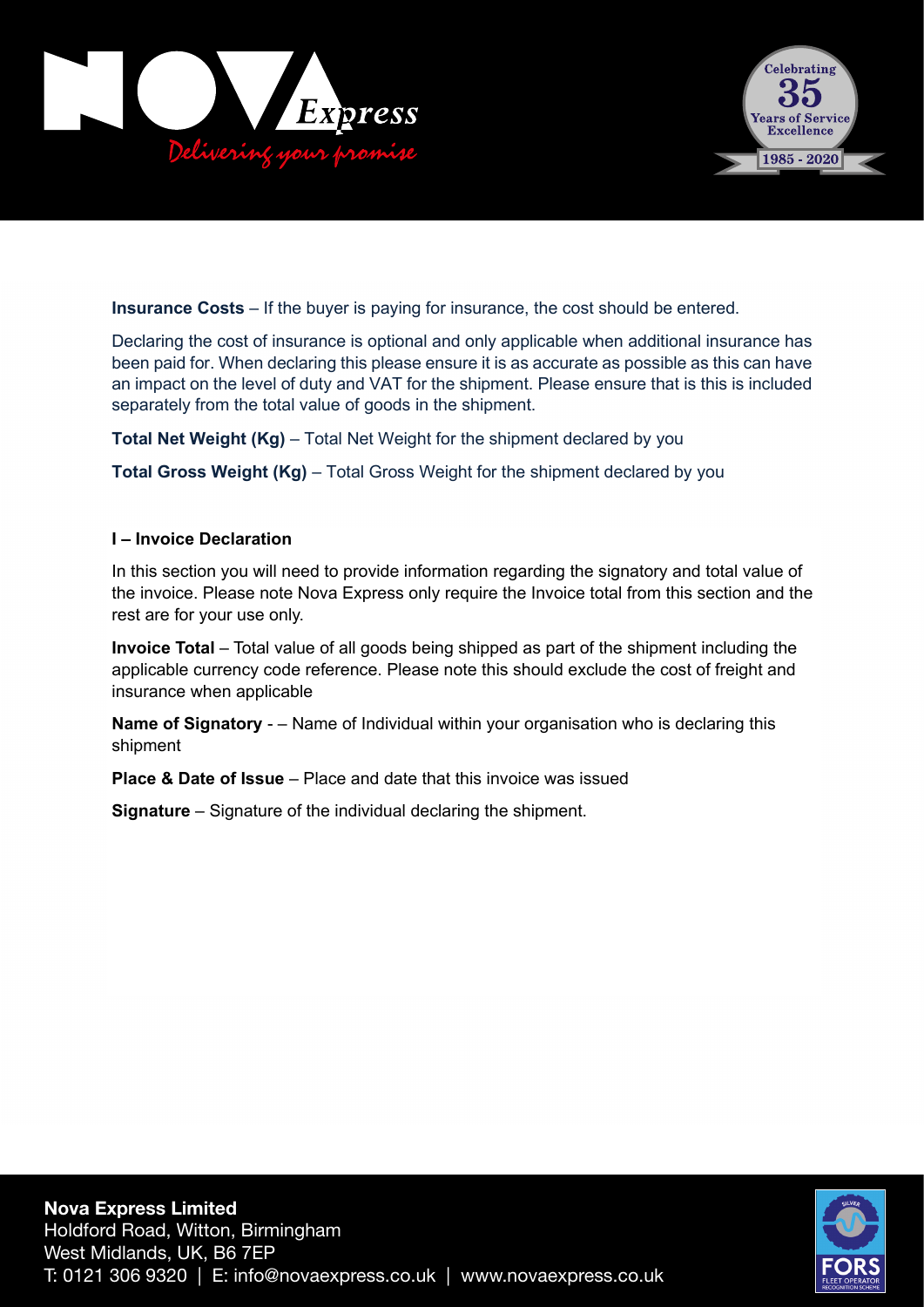



**Insurance Costs** – If the buyer is paying for insurance, the cost should be entered.

Declaring the cost of insurance is optional and only applicable when additional insurance has been paid for. When declaring this please ensure it is as accurate as possible as this can have an impact on the level of duty and VAT for the shipment. Please ensure that is this is included separately from the total value of goods in the shipment.

**Total Net Weight (Kg)** – Total Net Weight for the shipment declared by you

**Total Gross Weight (Kg)** – Total Gross Weight for the shipment declared by you

#### **I – Invoice Declaration I –**

In this section you will need to provide information regarding the signatory and total value of In this section you will need to provide information regarding the signatory and total value of the invoice. Please note Nova Express only require the Invoice total from this section and the rest are for your use only.

**Invoice Total** – Total value of all goods being shipped as part of the shipment including the **Invoice Total** – Total value of all goods being shipped as part of the shipment including the applicable currency code reference. Please note this should exclude the cost of freight and applicable currency code reference. Please note this should exclude the cost of freight and insurance when applicable insurance when applicable

**Name of Signatory** - – Name of Individual within your organisation who is declaring this **Name of Signatory** - – Name of Individual within your organisation who is declaring this shipment shipment

**Place & Date of Issue** – Place and date that this invoice was issued **Place & Date of Issue** – Place and date that this invoice was issued

**Signature** – Signature of the individual declaring the shipment. **Signature** – Signature of the individual declaring the shipment.

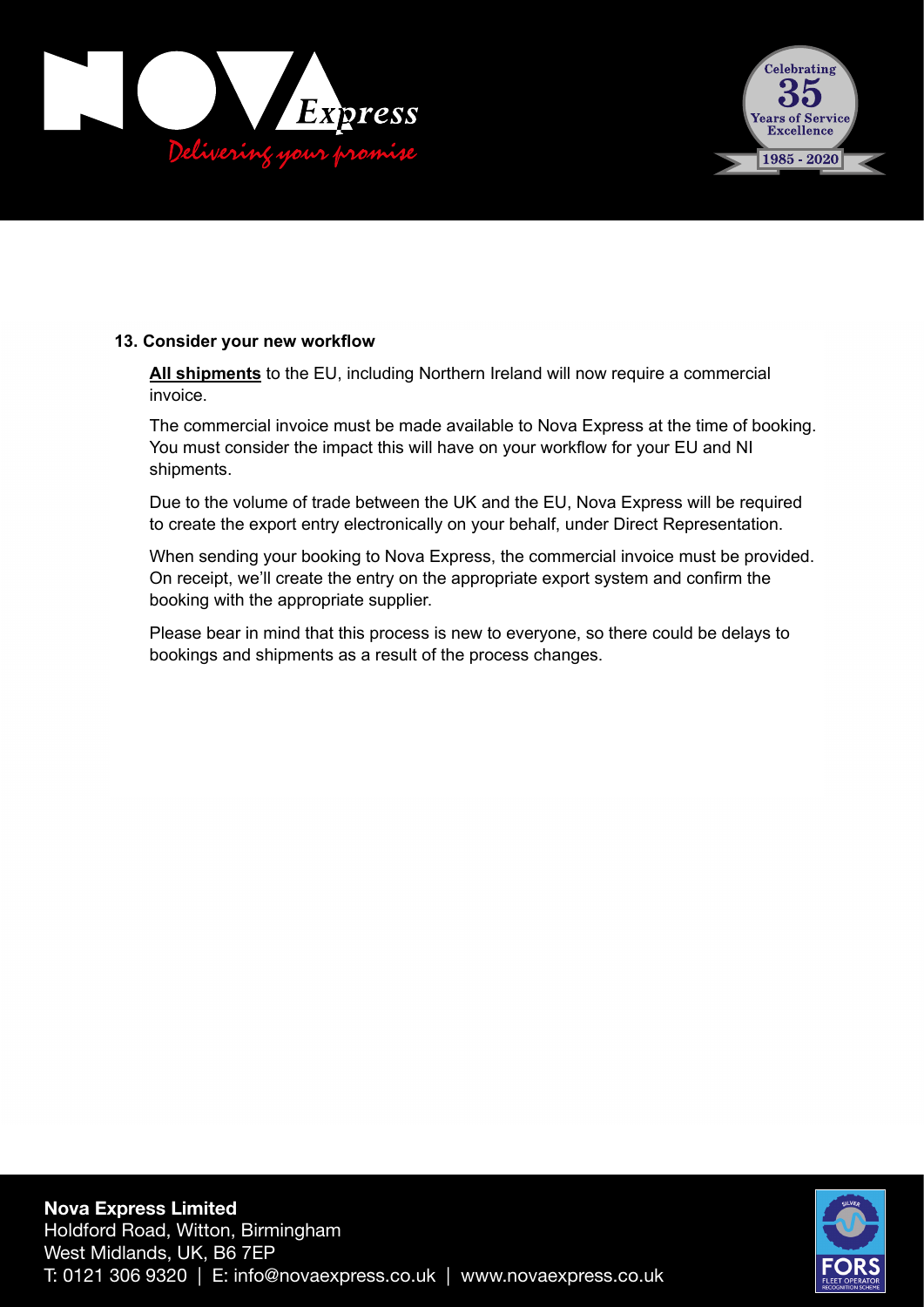



#### **13. Consider your new workflow 13. Consider your new workflow**

**All shipments** to the EU, including Northern Ireland will now require a commercial **All shipments** to the EU, including Northern Ireland will now require a commercial invoice. invoice.

The commercial invoice must be made available to Nova Express at the time of booking. You must consider the impact this will have on your workflow for your EU and NI Due to the volume of trade between the UK and the EU, CCL will be required to create shipments.

Due to the volume of trade between the UK and the EU, Nova Express will be required to create the export entry electronically on your behalf, under Direct Representation.

When sending your booking to Nova Express, the commercial invoice must be provided. appropriate supplier. On receipt, we'll create the entry on the appropriate export system and confirm the booking with the appropriate supplier.

Please bear in mind that this process is new to everyone, so there could be delays to bookings and shipments as a result of the process changes.

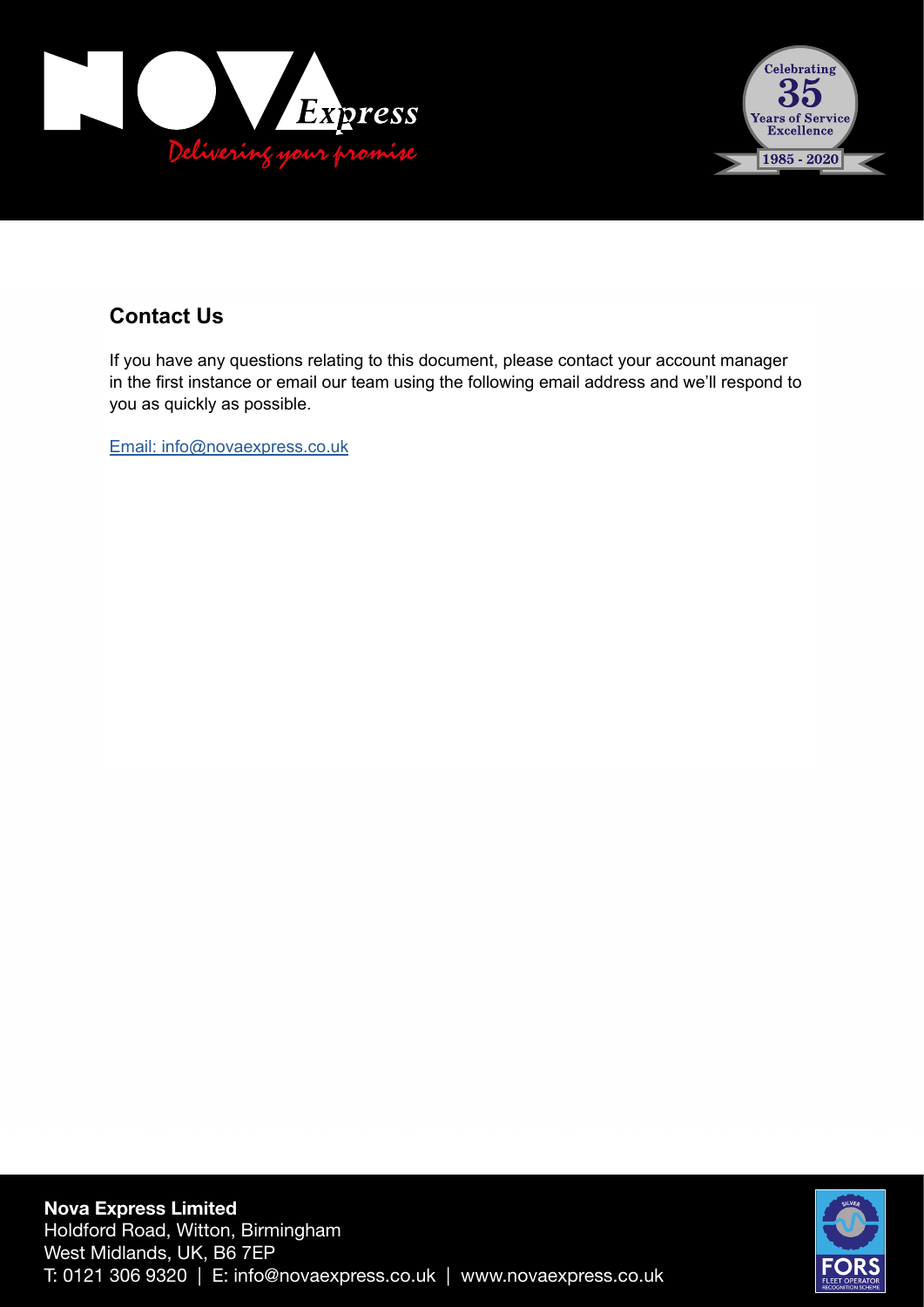



### **Contact Us Contact Us**

If you have any questions relating to this document, please contact your account manager the first instance or email our team using the following email address and we'll respond to you in the first instance or email our team using the following email address and we'll respond to are are mot motarice or email.<br>you as quickly as possible.

Email: brexit@ccl-logistics.com Email: info@novaexpress.co.uk

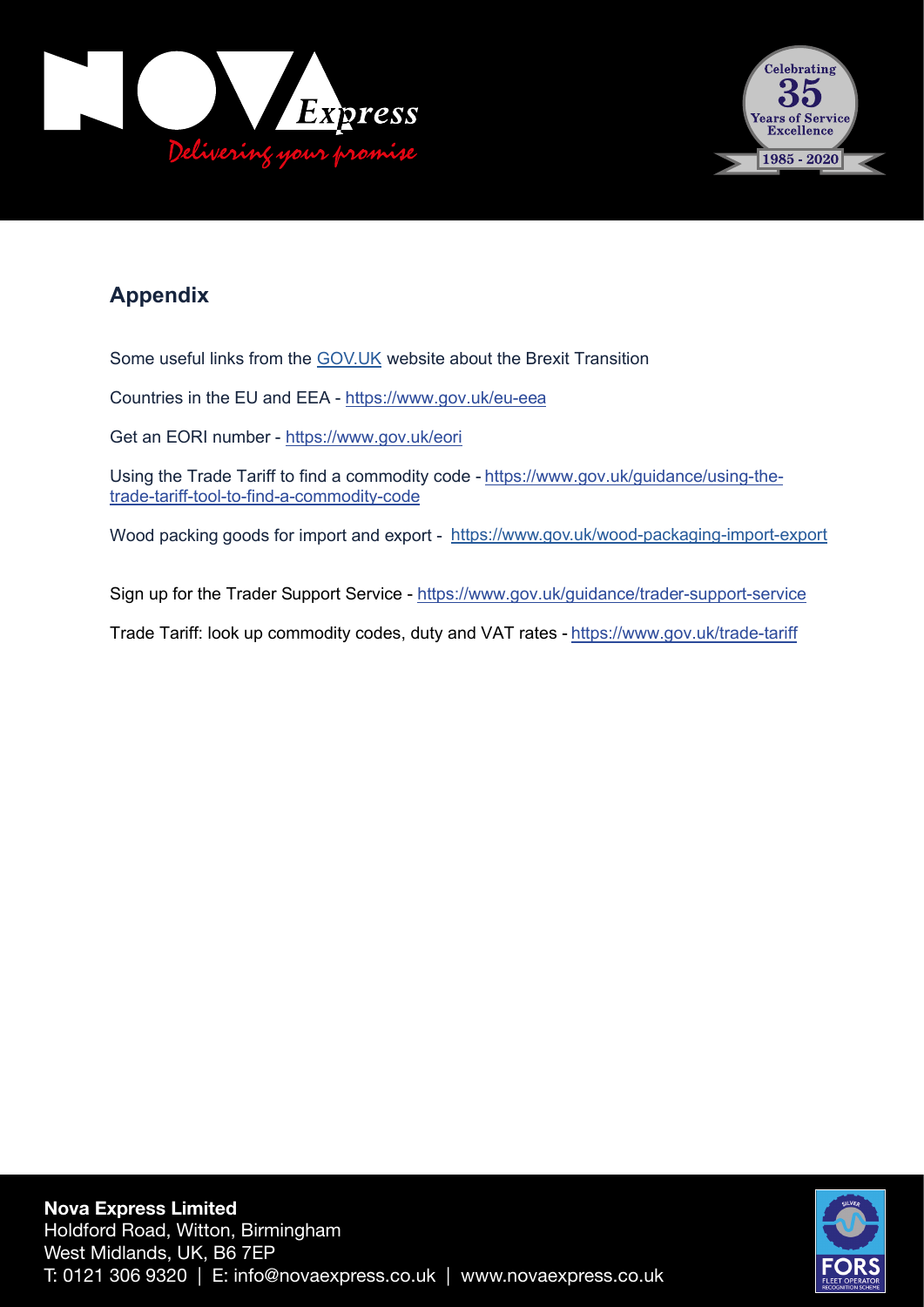



## **Appendix**

Some useful links from the **[GOV.UK](https://www.gov.uk/wood-packaging-import-export)** website about the Brexit Transition

Countries in the EU and EEA - https://www.gov.uk/eu-eea

Get an EORI number - https://www.gov.uk/eori

Using the Trade Tariff to find a commodity code - https://www.gov.uk/guidance/using-thetrade-tariff-tool-to-find-a-commodity-code

Wood packing goods for import and export - <https://www.gov.uk/wood-packaging-import-export>

Sign up for the Trader Support Service - https://www.gov.uk/guidance/trader-support-service

Trade Tariff: look up commodity codes, duty and VAT rates - https://www.gov.uk/trade-tariff